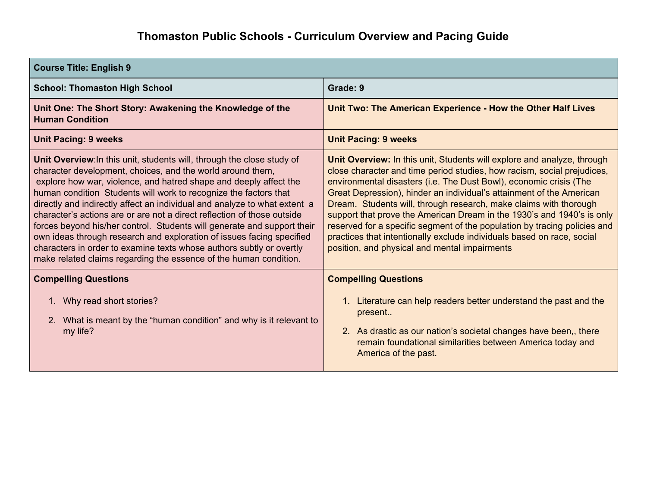| <b>Course Title: English 9</b>                                                                                                                                                                                                                                                                                                                                                                                                                                                                                                                                                                                                                                                                                                         |                                                                                                                                                                                                                                                                                                                                                                                                                                                                                                                                                                                                                                                         |
|----------------------------------------------------------------------------------------------------------------------------------------------------------------------------------------------------------------------------------------------------------------------------------------------------------------------------------------------------------------------------------------------------------------------------------------------------------------------------------------------------------------------------------------------------------------------------------------------------------------------------------------------------------------------------------------------------------------------------------------|---------------------------------------------------------------------------------------------------------------------------------------------------------------------------------------------------------------------------------------------------------------------------------------------------------------------------------------------------------------------------------------------------------------------------------------------------------------------------------------------------------------------------------------------------------------------------------------------------------------------------------------------------------|
| <b>School: Thomaston High School</b>                                                                                                                                                                                                                                                                                                                                                                                                                                                                                                                                                                                                                                                                                                   | Grade: 9                                                                                                                                                                                                                                                                                                                                                                                                                                                                                                                                                                                                                                                |
| Unit One: The Short Story: Awakening the Knowledge of the<br><b>Human Condition</b>                                                                                                                                                                                                                                                                                                                                                                                                                                                                                                                                                                                                                                                    | Unit Two: The American Experience - How the Other Half Lives                                                                                                                                                                                                                                                                                                                                                                                                                                                                                                                                                                                            |
| <b>Unit Pacing: 9 weeks</b>                                                                                                                                                                                                                                                                                                                                                                                                                                                                                                                                                                                                                                                                                                            | <b>Unit Pacing: 9 weeks</b>                                                                                                                                                                                                                                                                                                                                                                                                                                                                                                                                                                                                                             |
| Unit Overview: In this unit, students will, through the close study of<br>character development, choices, and the world around them,<br>explore how war, violence, and hatred shape and deeply affect the<br>human condition Students will work to recognize the factors that<br>directly and indirectly affect an individual and analyze to what extent a<br>character's actions are or are not a direct reflection of those outside<br>forces beyond his/her control. Students will generate and support their<br>own ideas through research and exploration of issues facing specified<br>characters in order to examine texts whose authors subtly or overtly<br>make related claims regarding the essence of the human condition. | Unit Overview: In this unit, Students will explore and analyze, through<br>close character and time period studies, how racism, social prejudices,<br>environmental disasters (i.e. The Dust Bowl), economic crisis (The<br>Great Depression), hinder an individual's attainment of the American<br>Dream. Students will, through research, make claims with thorough<br>support that prove the American Dream in the 1930's and 1940's is only<br>reserved for a specific segment of the population by tracing policies and<br>practices that intentionally exclude individuals based on race, social<br>position, and physical and mental impairments |
| <b>Compelling Questions</b>                                                                                                                                                                                                                                                                                                                                                                                                                                                                                                                                                                                                                                                                                                            | <b>Compelling Questions</b>                                                                                                                                                                                                                                                                                                                                                                                                                                                                                                                                                                                                                             |
| 1. Why read short stories?<br>2. What is meant by the "human condition" and why is it relevant to<br>my life?                                                                                                                                                                                                                                                                                                                                                                                                                                                                                                                                                                                                                          | Literature can help readers better understand the past and the<br>present<br>2. As drastic as our nation's societal changes have been, there<br>remain foundational similarities between America today and<br>America of the past.                                                                                                                                                                                                                                                                                                                                                                                                                      |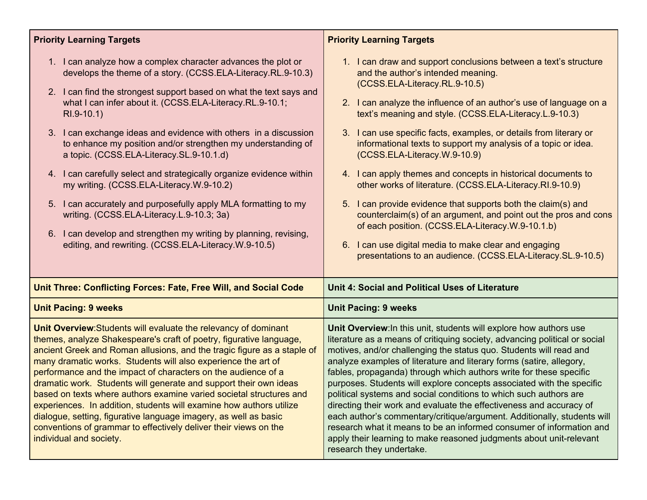| <b>Priority Learning Targets</b>                                                                                                                                                                                                                                                                                                                                                                                                                                                                                                                                                                                                                                                                                                                                                                                                | <b>Priority Learning Targets</b>                                                                                                                                                                                                                                                                                                                                                                                                                                                                                                                                                                                                                                                                                                                                                                                                                                                             |
|---------------------------------------------------------------------------------------------------------------------------------------------------------------------------------------------------------------------------------------------------------------------------------------------------------------------------------------------------------------------------------------------------------------------------------------------------------------------------------------------------------------------------------------------------------------------------------------------------------------------------------------------------------------------------------------------------------------------------------------------------------------------------------------------------------------------------------|----------------------------------------------------------------------------------------------------------------------------------------------------------------------------------------------------------------------------------------------------------------------------------------------------------------------------------------------------------------------------------------------------------------------------------------------------------------------------------------------------------------------------------------------------------------------------------------------------------------------------------------------------------------------------------------------------------------------------------------------------------------------------------------------------------------------------------------------------------------------------------------------|
| 1. I can analyze how a complex character advances the plot or<br>develops the theme of a story. (CCSS.ELA-Literacy.RL.9-10.3)<br>2. I can find the strongest support based on what the text says and<br>what I can infer about it. (CCSS.ELA-Literacy.RL.9-10.1;<br>RI.9-10.1)<br>3. I can exchange ideas and evidence with others in a discussion<br>to enhance my position and/or strengthen my understanding of<br>a topic. (CCSS.ELA-Literacy.SL.9-10.1.d)<br>4. I can carefully select and strategically organize evidence within<br>my writing. (CCSS.ELA-Literacy.W.9-10.2)<br>5. I can accurately and purposefully apply MLA formatting to my<br>writing. (CCSS.ELA-Literacy.L.9-10.3; 3a)<br>6. I can develop and strengthen my writing by planning, revising,<br>editing, and rewriting. (CCSS.ELA-Literacy.W.9-10.5) | 1. I can draw and support conclusions between a text's structure<br>and the author's intended meaning.<br>(CCSS.ELA-Literacy.RL.9-10.5)<br>2. I can analyze the influence of an author's use of language on a<br>text's meaning and style. (CCSS.ELA-Literacy.L.9-10.3)<br>3. I can use specific facts, examples, or details from literary or<br>informational texts to support my analysis of a topic or idea.<br>(CCSS.ELA-Literacy.W.9-10.9)<br>4. I can apply themes and concepts in historical documents to<br>other works of literature. (CCSS.ELA-Literacy.RI.9-10.9)<br>5. I can provide evidence that supports both the claim(s) and<br>counterclaim(s) of an argument, and point out the pros and cons<br>of each position. (CCSS.ELA-Literacy.W.9-10.1.b)<br>6. I can use digital media to make clear and engaging<br>presentations to an audience. (CCSS.ELA-Literacy.SL.9-10.5) |
| Unit Three: Conflicting Forces: Fate, Free Will, and Social Code                                                                                                                                                                                                                                                                                                                                                                                                                                                                                                                                                                                                                                                                                                                                                                | Unit 4: Social and Political Uses of Literature                                                                                                                                                                                                                                                                                                                                                                                                                                                                                                                                                                                                                                                                                                                                                                                                                                              |
| <b>Unit Pacing: 9 weeks</b>                                                                                                                                                                                                                                                                                                                                                                                                                                                                                                                                                                                                                                                                                                                                                                                                     | <b>Unit Pacing: 9 weeks</b>                                                                                                                                                                                                                                                                                                                                                                                                                                                                                                                                                                                                                                                                                                                                                                                                                                                                  |
| Unit Overview: Students will evaluate the relevancy of dominant<br>themes, analyze Shakespeare's craft of poetry, figurative language,<br>ancient Greek and Roman allusions, and the tragic figure as a staple of<br>many dramatic works. Students will also experience the art of<br>performance and the impact of characters on the audience of a<br>dramatic work. Students will generate and support their own ideas<br>based on texts where authors examine varied societal structures and<br>experiences. In addition, students will examine how authors utilize<br>dialogue, setting, figurative language imagery, as well as basic<br>conventions of grammar to effectively deliver their views on the<br>individual and society.                                                                                       | Unit Overview: In this unit, students will explore how authors use<br>literature as a means of critiquing society, advancing political or social<br>motives, and/or challenging the status quo. Students will read and<br>analyze examples of literature and literary forms (satire, allegory,<br>fables, propaganda) through which authors write for these specific<br>purposes. Students will explore concepts associated with the specific<br>political systems and social conditions to which such authors are<br>directing their work and evaluate the effectiveness and accuracy of<br>each author's commentary/critique/argument. Additionally, students will<br>research what it means to be an informed consumer of information and<br>apply their learning to make reasoned judgments about unit-relevant<br>research they undertake.                                              |